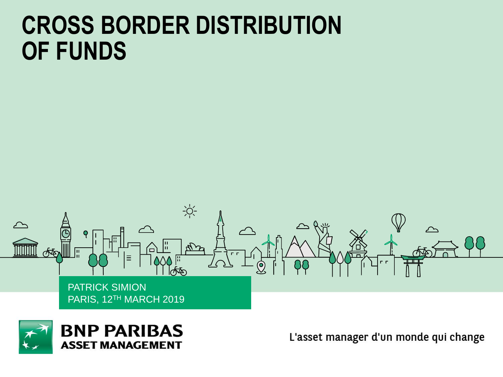## **CROSS BORDER DISTRIBUTION OF FUNDS**





L'asset manager d'un monde qui change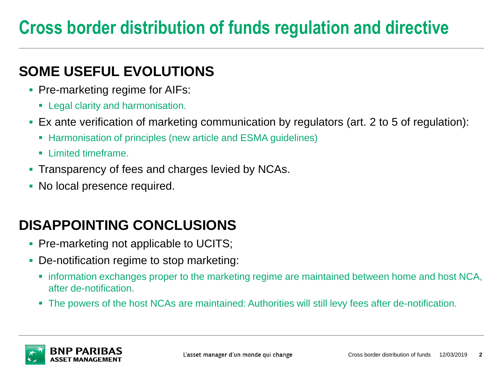## **Cross border distribution of funds regulation and directive**

#### **SOME USEFUL EVOLUTIONS**

- Pre-marketing regime for AIFs:
	- **E** Legal clarity and harmonisation.
- Ex ante verification of marketing communication by regulators (art. 2 to 5 of regulation):
	- **EXTERGH** Harmonisation of principles (new article and ESMA quidelines)
	- **.** Limited timeframe.
- Transparency of fees and charges levied by NCAs.
- No local presence required.

#### **DISAPPOINTING CONCLUSIONS**

- Pre-marketing not applicable to UCITS;
- **De-notification regime to stop marketing:** 
	- **information exchanges proper to the marketing regime are maintained between home and host NCA,** after de-notification.
	- **The powers of the host NCAs are maintained: Authorities will still levy fees after de-notification.**

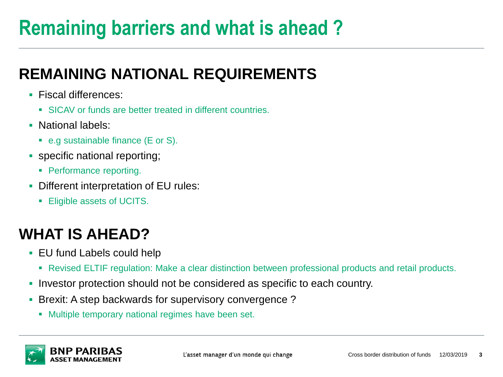## **Remaining barriers and what is ahead ?**

## **REMAINING NATIONAL REQUIREMENTS**

- Fiscal differences:
	- SICAV or funds are better treated in different countries.
- National labels:
	- e.g sustainable finance (E or S).
- **•** specific national reporting;
	- **Performance reporting.**
- **Different interpretation of EU rules:** 
	- **Eligible assets of UCITS.**

### **WHAT IS AHEAD?**

- EU fund Labels could help
	- Revised ELTIF regulation: Make a clear distinction between professional products and retail products.
- Investor protection should not be considered as specific to each country.
- Brexit: A step backwards for supervisory convergence?
	- **Multiple temporary national regimes have been set.**